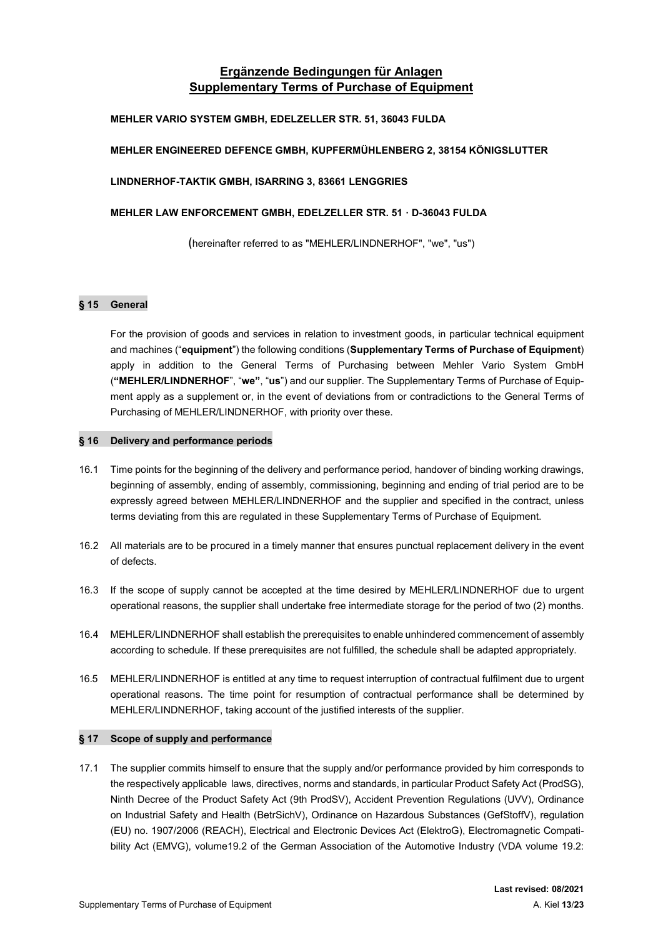# Ergänzende Bedingungen für Anlagen Supplementary Terms of Purchase of Equipment

### MEHLER VARIO SYSTEM GMBH, EDELZELLER STR. 51, 36043 FULDA

# MEHLER ENGINEERED DEFENCE GMBH, KUPFERMÜHLENBERG 2, 38154 KÖNIGSLUTTER

### LINDNERHOF-TAKTIK GMBH, ISARRING 3, 83661 LENGGRIES

### MEHLER LAW ENFORCEMENT GMBH, EDELZELLER STR. 51 · D-36043 FULDA

(hereinafter referred to as "MEHLER/LINDNERHOF", "we", "us")

### § 15 General

For the provision of goods and services in relation to investment goods, in particular technical equipment and machines ("equipment") the following conditions (Supplementary Terms of Purchase of Equipment) apply in addition to the General Terms of Purchasing between Mehler Vario System GmbH ("MEHLER/LINDNERHOF", "we", "us") and our supplier. The Supplementary Terms of Purchase of Equipment apply as a supplement or, in the event of deviations from or contradictions to the General Terms of Purchasing of MEHLER/LINDNERHOF, with priority over these.

### § 16 Delivery and performance periods

- 16.1 Time points for the beginning of the delivery and performance period, handover of binding working drawings, beginning of assembly, ending of assembly, commissioning, beginning and ending of trial period are to be expressly agreed between MEHLER/LINDNERHOF and the supplier and specified in the contract, unless terms deviating from this are regulated in these Supplementary Terms of Purchase of Equipment.
- 16.2 All materials are to be procured in a timely manner that ensures punctual replacement delivery in the event of defects.
- 16.3 If the scope of supply cannot be accepted at the time desired by MEHLER/LINDNERHOF due to urgent operational reasons, the supplier shall undertake free intermediate storage for the period of two (2) months.
- 16.4 MEHLER/LINDNERHOF shall establish the prerequisites to enable unhindered commencement of assembly according to schedule. If these prerequisites are not fulfilled, the schedule shall be adapted appropriately.
- 16.5 MEHLER/LINDNERHOF is entitled at any time to request interruption of contractual fulfilment due to urgent operational reasons. The time point for resumption of contractual performance shall be determined by MEHLER/LINDNERHOF, taking account of the justified interests of the supplier.

### § 17 Scope of supply and performance

17.1 The supplier commits himself to ensure that the supply and/or performance provided by him corresponds to the respectively applicable laws, directives, norms and standards, in particular Product Safety Act (ProdSG), Ninth Decree of the Product Safety Act (9th ProdSV), Accident Prevention Regulations (UVV), Ordinance on Industrial Safety and Health (BetrSichV), Ordinance on Hazardous Substances (GefStoffV), regulation (EU) no. 1907/2006 (REACH), Electrical and Electronic Devices Act (ElektroG), Electromagnetic Compatibility Act (EMVG), volume19.2 of the German Association of the Automotive Industry (VDA volume 19.2: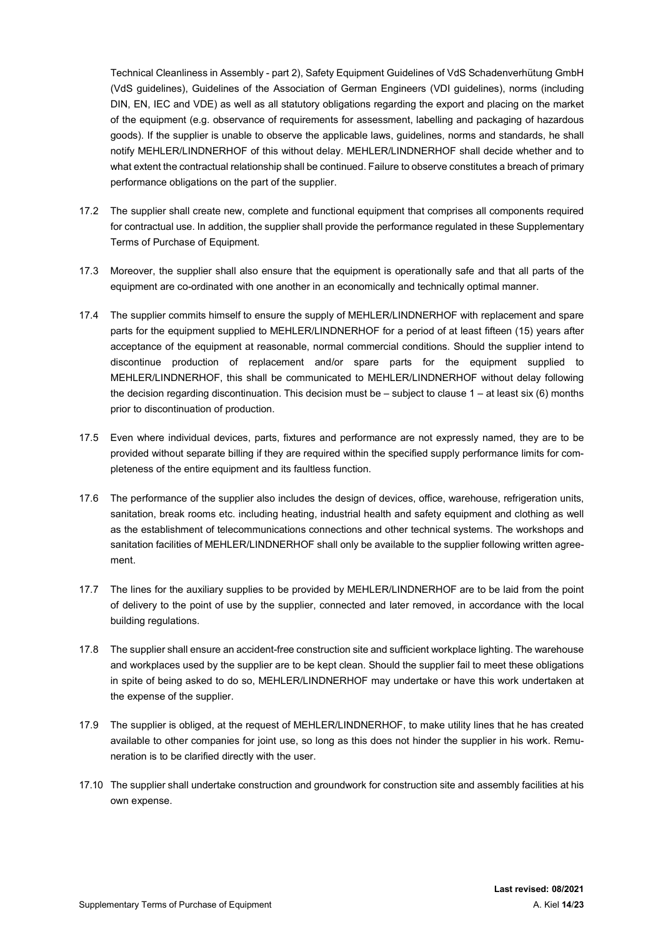Technical Cleanliness in Assembly - part 2), Safety Equipment Guidelines of VdS Schadenverhütung GmbH (VdS guidelines), Guidelines of the Association of German Engineers (VDI guidelines), norms (including DIN, EN, IEC and VDE) as well as all statutory obligations regarding the export and placing on the market of the equipment (e.g. observance of requirements for assessment, labelling and packaging of hazardous goods). If the supplier is unable to observe the applicable laws, guidelines, norms and standards, he shall notify MEHLER/LINDNERHOF of this without delay. MEHLER/LINDNERHOF shall decide whether and to what extent the contractual relationship shall be continued. Failure to observe constitutes a breach of primary performance obligations on the part of the supplier.

- 17.2 The supplier shall create new, complete and functional equipment that comprises all components required for contractual use. In addition, the supplier shall provide the performance regulated in these Supplementary Terms of Purchase of Equipment.
- 17.3 Moreover, the supplier shall also ensure that the equipment is operationally safe and that all parts of the equipment are co-ordinated with one another in an economically and technically optimal manner.
- 17.4 The supplier commits himself to ensure the supply of MEHLER/LINDNERHOF with replacement and spare parts for the equipment supplied to MEHLER/LINDNERHOF for a period of at least fifteen (15) years after acceptance of the equipment at reasonable, normal commercial conditions. Should the supplier intend to discontinue production of replacement and/or spare parts for the equipment supplied to MEHLER/LINDNERHOF, this shall be communicated to MEHLER/LINDNERHOF without delay following the decision regarding discontinuation. This decision must be – subject to clause 1 – at least six (6) months prior to discontinuation of production.
- 17.5 Even where individual devices, parts, fixtures and performance are not expressly named, they are to be provided without separate billing if they are required within the specified supply performance limits for completeness of the entire equipment and its faultless function.
- 17.6 The performance of the supplier also includes the design of devices, office, warehouse, refrigeration units, sanitation, break rooms etc. including heating, industrial health and safety equipment and clothing as well as the establishment of telecommunications connections and other technical systems. The workshops and sanitation facilities of MEHLER/LINDNERHOF shall only be available to the supplier following written agreement.
- 17.7 The lines for the auxiliary supplies to be provided by MEHLER/LINDNERHOF are to be laid from the point of delivery to the point of use by the supplier, connected and later removed, in accordance with the local building regulations.
- 17.8 The supplier shall ensure an accident-free construction site and sufficient workplace lighting. The warehouse and workplaces used by the supplier are to be kept clean. Should the supplier fail to meet these obligations in spite of being asked to do so, MEHLER/LINDNERHOF may undertake or have this work undertaken at the expense of the supplier.
- 17.9 The supplier is obliged, at the request of MEHLER/LINDNERHOF, to make utility lines that he has created available to other companies for joint use, so long as this does not hinder the supplier in his work. Remuneration is to be clarified directly with the user.
- 17.10 The supplier shall undertake construction and groundwork for construction site and assembly facilities at his own expense.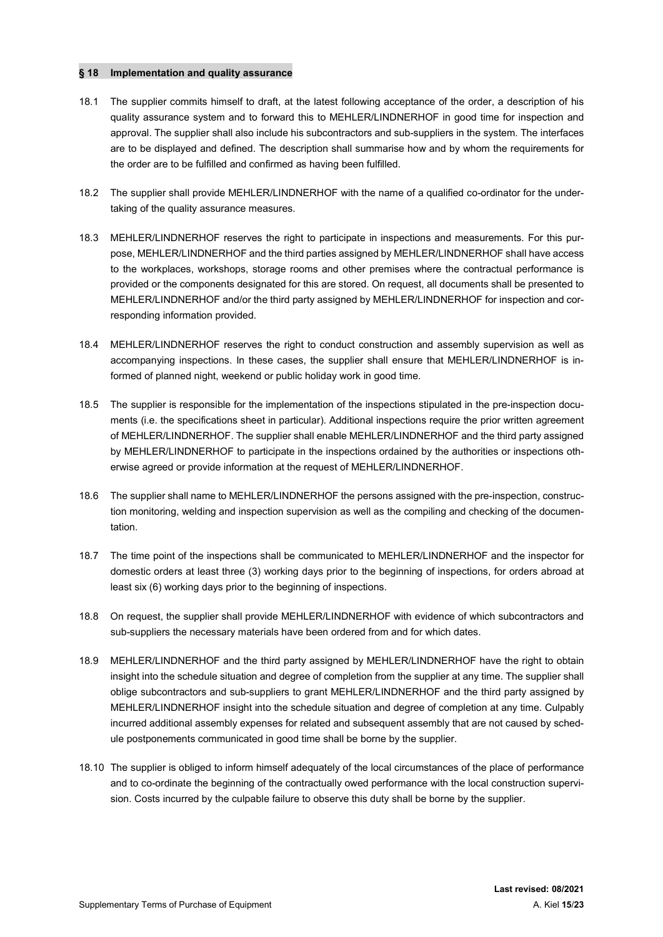### § 18 Implementation and quality assurance

- 18.1 The supplier commits himself to draft, at the latest following acceptance of the order, a description of his quality assurance system and to forward this to MEHLER/LINDNERHOF in good time for inspection and approval. The supplier shall also include his subcontractors and sub-suppliers in the system. The interfaces are to be displayed and defined. The description shall summarise how and by whom the requirements for the order are to be fulfilled and confirmed as having been fulfilled.
- 18.2 The supplier shall provide MEHLER/LINDNERHOF with the name of a qualified co-ordinator for the undertaking of the quality assurance measures.
- 18.3 MEHLER/LINDNERHOF reserves the right to participate in inspections and measurements. For this purpose, MEHLER/LINDNERHOF and the third parties assigned by MEHLER/LINDNERHOF shall have access to the workplaces, workshops, storage rooms and other premises where the contractual performance is provided or the components designated for this are stored. On request, all documents shall be presented to MEHLER/LINDNERHOF and/or the third party assigned by MEHLER/LINDNERHOF for inspection and corresponding information provided.
- 18.4 MEHLER/LINDNERHOF reserves the right to conduct construction and assembly supervision as well as accompanying inspections. In these cases, the supplier shall ensure that MEHLER/LINDNERHOF is informed of planned night, weekend or public holiday work in good time.
- 18.5 The supplier is responsible for the implementation of the inspections stipulated in the pre-inspection documents (i.e. the specifications sheet in particular). Additional inspections require the prior written agreement of MEHLER/LINDNERHOF. The supplier shall enable MEHLER/LINDNERHOF and the third party assigned by MEHLER/LINDNERHOF to participate in the inspections ordained by the authorities or inspections otherwise agreed or provide information at the request of MEHLER/LINDNERHOF.
- 18.6 The supplier shall name to MEHLER/LINDNERHOF the persons assigned with the pre-inspection, construction monitoring, welding and inspection supervision as well as the compiling and checking of the documentation.
- 18.7 The time point of the inspections shall be communicated to MEHLER/LINDNERHOF and the inspector for domestic orders at least three (3) working days prior to the beginning of inspections, for orders abroad at least six (6) working days prior to the beginning of inspections.
- 18.8 On request, the supplier shall provide MEHLER/LINDNERHOF with evidence of which subcontractors and sub-suppliers the necessary materials have been ordered from and for which dates.
- 18.9 MEHLER/LINDNERHOF and the third party assigned by MEHLER/LINDNERHOF have the right to obtain insight into the schedule situation and degree of completion from the supplier at any time. The supplier shall oblige subcontractors and sub-suppliers to grant MEHLER/LINDNERHOF and the third party assigned by MEHLER/LINDNERHOF insight into the schedule situation and degree of completion at any time. Culpably incurred additional assembly expenses for related and subsequent assembly that are not caused by schedule postponements communicated in good time shall be borne by the supplier.
- 18.10 The supplier is obliged to inform himself adequately of the local circumstances of the place of performance and to co-ordinate the beginning of the contractually owed performance with the local construction supervision. Costs incurred by the culpable failure to observe this duty shall be borne by the supplier.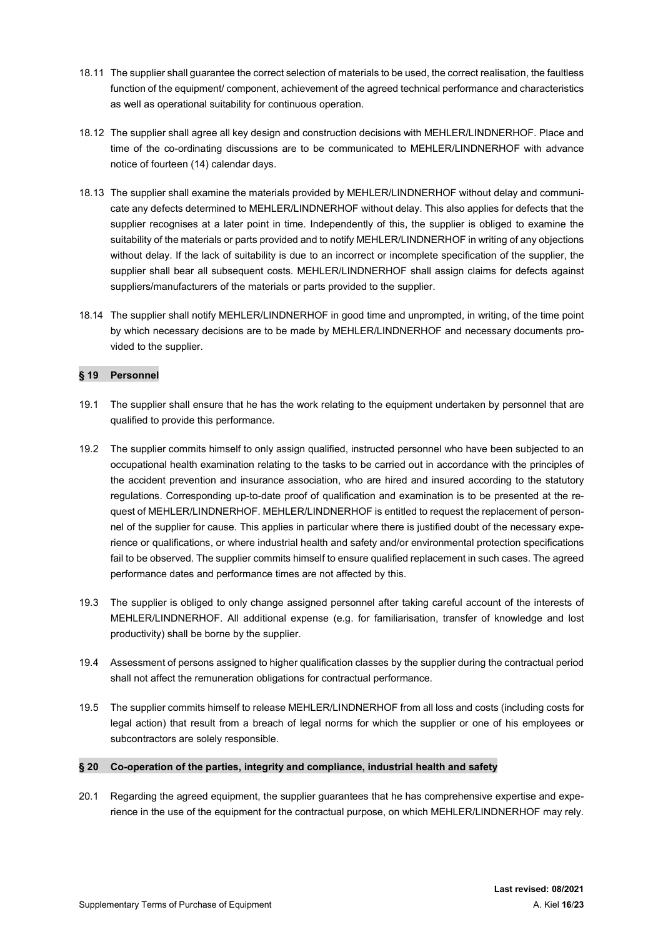- 18.11 The supplier shall guarantee the correct selection of materials to be used, the correct realisation, the faultless function of the equipment/ component, achievement of the agreed technical performance and characteristics as well as operational suitability for continuous operation.
- 18.12 The supplier shall agree all key design and construction decisions with MEHLER/LINDNERHOF. Place and time of the co-ordinating discussions are to be communicated to MEHLER/LINDNERHOF with advance notice of fourteen (14) calendar days.
- 18.13 The supplier shall examine the materials provided by MEHLER/LINDNERHOF without delay and communicate any defects determined to MEHLER/LINDNERHOF without delay. This also applies for defects that the supplier recognises at a later point in time. Independently of this, the supplier is obliged to examine the suitability of the materials or parts provided and to notify MEHLER/LINDNERHOF in writing of any objections without delay. If the lack of suitability is due to an incorrect or incomplete specification of the supplier, the supplier shall bear all subsequent costs. MEHLER/LINDNERHOF shall assign claims for defects against suppliers/manufacturers of the materials or parts provided to the supplier.
- 18.14 The supplier shall notify MEHLER/LINDNERHOF in good time and unprompted, in writing, of the time point by which necessary decisions are to be made by MEHLER/LINDNERHOF and necessary documents provided to the supplier.

### § 19 Personnel

- 19.1 The supplier shall ensure that he has the work relating to the equipment undertaken by personnel that are qualified to provide this performance.
- 19.2 The supplier commits himself to only assign qualified, instructed personnel who have been subjected to an occupational health examination relating to the tasks to be carried out in accordance with the principles of the accident prevention and insurance association, who are hired and insured according to the statutory regulations. Corresponding up-to-date proof of qualification and examination is to be presented at the request of MEHLER/LINDNERHOF. MEHLER/LINDNERHOF is entitled to request the replacement of personnel of the supplier for cause. This applies in particular where there is justified doubt of the necessary experience or qualifications, or where industrial health and safety and/or environmental protection specifications fail to be observed. The supplier commits himself to ensure qualified replacement in such cases. The agreed performance dates and performance times are not affected by this.
- 19.3 The supplier is obliged to only change assigned personnel after taking careful account of the interests of MEHLER/LINDNERHOF. All additional expense (e.g. for familiarisation, transfer of knowledge and lost productivity) shall be borne by the supplier.
- 19.4 Assessment of persons assigned to higher qualification classes by the supplier during the contractual period shall not affect the remuneration obligations for contractual performance.
- 19.5 The supplier commits himself to release MEHLER/LINDNERHOF from all loss and costs (including costs for legal action) that result from a breach of legal norms for which the supplier or one of his employees or subcontractors are solely responsible.

# § 20 Co-operation of the parties, integrity and compliance, industrial health and safety

20.1 Regarding the agreed equipment, the supplier guarantees that he has comprehensive expertise and experience in the use of the equipment for the contractual purpose, on which MEHLER/LINDNERHOF may rely.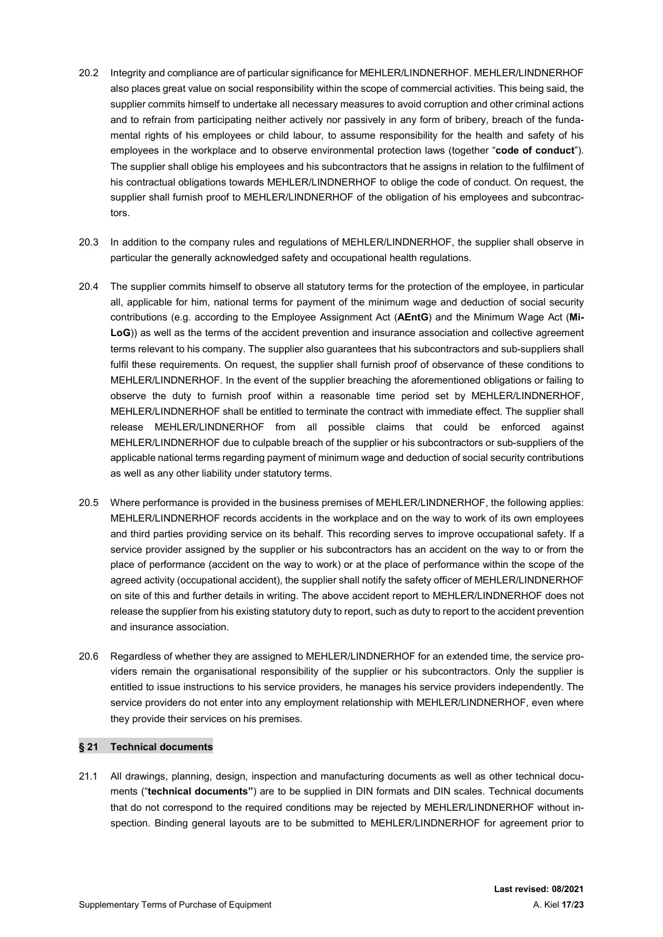- 20.2 Integrity and compliance are of particular significance for MEHLER/LINDNERHOF. MEHLER/LINDNERHOF also places great value on social responsibility within the scope of commercial activities. This being said, the supplier commits himself to undertake all necessary measures to avoid corruption and other criminal actions and to refrain from participating neither actively nor passively in any form of bribery, breach of the fundamental rights of his employees or child labour, to assume responsibility for the health and safety of his employees in the workplace and to observe environmental protection laws (together "code of conduct"). The supplier shall oblige his employees and his subcontractors that he assigns in relation to the fulfilment of his contractual obligations towards MEHLER/LINDNERHOF to oblige the code of conduct. On request, the supplier shall furnish proof to MEHLER/LINDNERHOF of the obligation of his employees and subcontractors.
- 20.3 In addition to the company rules and regulations of MEHLER/LINDNERHOF, the supplier shall observe in particular the generally acknowledged safety and occupational health regulations.
- 20.4 The supplier commits himself to observe all statutory terms for the protection of the employee, in particular all, applicable for him, national terms for payment of the minimum wage and deduction of social security contributions (e.g. according to the Employee Assignment Act (AEntG) and the Minimum Wage Act (Mi-LoG)) as well as the terms of the accident prevention and insurance association and collective agreement terms relevant to his company. The supplier also guarantees that his subcontractors and sub-suppliers shall fulfil these requirements. On request, the supplier shall furnish proof of observance of these conditions to MEHLER/LINDNERHOF. In the event of the supplier breaching the aforementioned obligations or failing to observe the duty to furnish proof within a reasonable time period set by MEHLER/LINDNERHOF, MEHLER/LINDNERHOF shall be entitled to terminate the contract with immediate effect. The supplier shall release MEHLER/LINDNERHOF from all possible claims that could be enforced against MEHLER/LINDNERHOF due to culpable breach of the supplier or his subcontractors or sub-suppliers of the applicable national terms regarding payment of minimum wage and deduction of social security contributions as well as any other liability under statutory terms.
- 20.5 Where performance is provided in the business premises of MEHLER/LINDNERHOF, the following applies: MEHLER/LINDNERHOF records accidents in the workplace and on the way to work of its own employees and third parties providing service on its behalf. This recording serves to improve occupational safety. If a service provider assigned by the supplier or his subcontractors has an accident on the way to or from the place of performance (accident on the way to work) or at the place of performance within the scope of the agreed activity (occupational accident), the supplier shall notify the safety officer of MEHLER/LINDNERHOF on site of this and further details in writing. The above accident report to MEHLER/LINDNERHOF does not release the supplier from his existing statutory duty to report, such as duty to report to the accident prevention and insurance association.
- 20.6 Regardless of whether they are assigned to MEHLER/LINDNERHOF for an extended time, the service providers remain the organisational responsibility of the supplier or his subcontractors. Only the supplier is entitled to issue instructions to his service providers, he manages his service providers independently. The service providers do not enter into any employment relationship with MEHLER/LINDNERHOF, even where they provide their services on his premises.

#### § 21 Technical documents

21.1 All drawings, planning, design, inspection and manufacturing documents as well as other technical documents ("technical documents") are to be supplied in DIN formats and DIN scales. Technical documents that do not correspond to the required conditions may be rejected by MEHLER/LINDNERHOF without inspection. Binding general layouts are to be submitted to MEHLER/LINDNERHOF for agreement prior to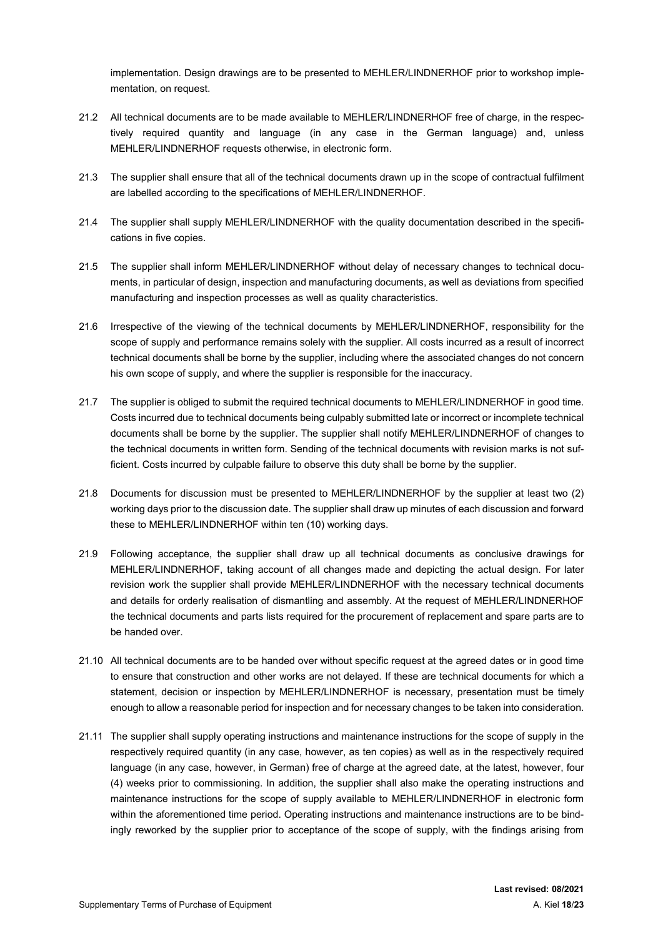implementation. Design drawings are to be presented to MEHLER/LINDNERHOF prior to workshop implementation, on request.

- 21.2 All technical documents are to be made available to MEHLER/LINDNERHOF free of charge, in the respectively required quantity and language (in any case in the German language) and, unless MEHLER/LINDNERHOF requests otherwise, in electronic form.
- 21.3 The supplier shall ensure that all of the technical documents drawn up in the scope of contractual fulfilment are labelled according to the specifications of MEHLER/LINDNERHOF.
- 21.4 The supplier shall supply MEHLER/LINDNERHOF with the quality documentation described in the specifications in five copies.
- 21.5 The supplier shall inform MEHLER/LINDNERHOF without delay of necessary changes to technical documents, in particular of design, inspection and manufacturing documents, as well as deviations from specified manufacturing and inspection processes as well as quality characteristics.
- 21.6 Irrespective of the viewing of the technical documents by MEHLER/LINDNERHOF, responsibility for the scope of supply and performance remains solely with the supplier. All costs incurred as a result of incorrect technical documents shall be borne by the supplier, including where the associated changes do not concern his own scope of supply, and where the supplier is responsible for the inaccuracy.
- 21.7 The supplier is obliged to submit the required technical documents to MEHLER/LINDNERHOF in good time. Costs incurred due to technical documents being culpably submitted late or incorrect or incomplete technical documents shall be borne by the supplier. The supplier shall notify MEHLER/LINDNERHOF of changes to the technical documents in written form. Sending of the technical documents with revision marks is not sufficient. Costs incurred by culpable failure to observe this duty shall be borne by the supplier.
- 21.8 Documents for discussion must be presented to MEHLER/LINDNERHOF by the supplier at least two (2) working days prior to the discussion date. The supplier shall draw up minutes of each discussion and forward these to MEHLER/LINDNERHOF within ten (10) working days.
- 21.9 Following acceptance, the supplier shall draw up all technical documents as conclusive drawings for MEHLER/LINDNERHOF, taking account of all changes made and depicting the actual design. For later revision work the supplier shall provide MEHLER/LINDNERHOF with the necessary technical documents and details for orderly realisation of dismantling and assembly. At the request of MEHLER/LINDNERHOF the technical documents and parts lists required for the procurement of replacement and spare parts are to be handed over.
- 21.10 All technical documents are to be handed over without specific request at the agreed dates or in good time to ensure that construction and other works are not delayed. If these are technical documents for which a statement, decision or inspection by MEHLER/LINDNERHOF is necessary, presentation must be timely enough to allow a reasonable period for inspection and for necessary changes to be taken into consideration.
- 21.11 The supplier shall supply operating instructions and maintenance instructions for the scope of supply in the respectively required quantity (in any case, however, as ten copies) as well as in the respectively required language (in any case, however, in German) free of charge at the agreed date, at the latest, however, four (4) weeks prior to commissioning. In addition, the supplier shall also make the operating instructions and maintenance instructions for the scope of supply available to MEHLER/LINDNERHOF in electronic form within the aforementioned time period. Operating instructions and maintenance instructions are to be bindingly reworked by the supplier prior to acceptance of the scope of supply, with the findings arising from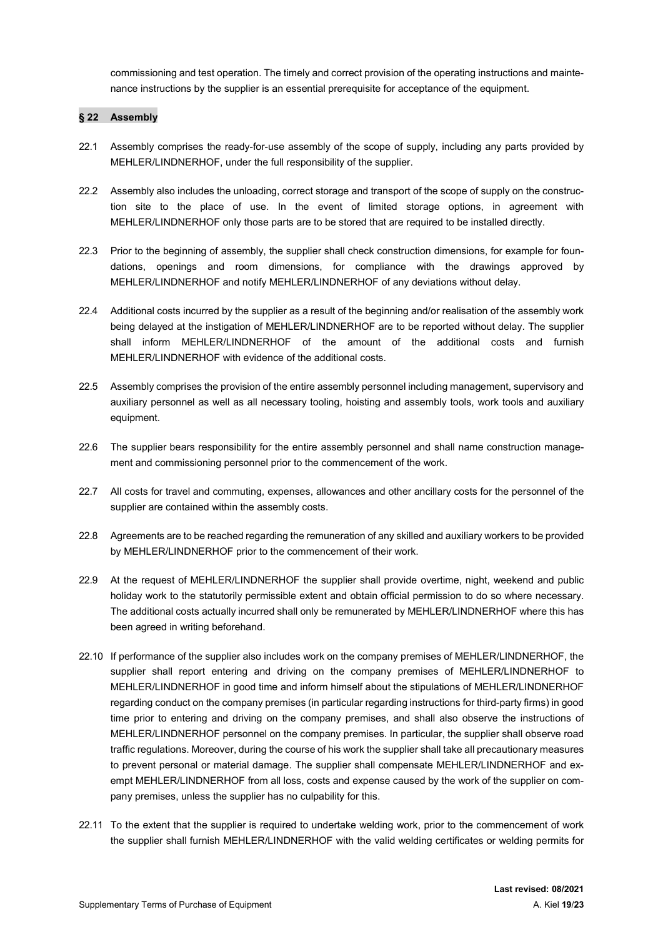commissioning and test operation. The timely and correct provision of the operating instructions and maintenance instructions by the supplier is an essential prerequisite for acceptance of the equipment.

### § 22 Assembly

- 22.1 Assembly comprises the ready-for-use assembly of the scope of supply, including any parts provided by MEHLER/LINDNERHOF, under the full responsibility of the supplier.
- 22.2 Assembly also includes the unloading, correct storage and transport of the scope of supply on the construction site to the place of use. In the event of limited storage options, in agreement with MEHLER/LINDNERHOF only those parts are to be stored that are required to be installed directly.
- 22.3 Prior to the beginning of assembly, the supplier shall check construction dimensions, for example for foundations, openings and room dimensions, for compliance with the drawings approved by MEHLER/LINDNERHOF and notify MEHLER/LINDNERHOF of any deviations without delay.
- 22.4 Additional costs incurred by the supplier as a result of the beginning and/or realisation of the assembly work being delayed at the instigation of MEHLER/LINDNERHOF are to be reported without delay. The supplier shall inform MEHLER/LINDNERHOF of the amount of the additional costs and furnish MEHLER/LINDNERHOF with evidence of the additional costs.
- 22.5 Assembly comprises the provision of the entire assembly personnel including management, supervisory and auxiliary personnel as well as all necessary tooling, hoisting and assembly tools, work tools and auxiliary equipment.
- 22.6 The supplier bears responsibility for the entire assembly personnel and shall name construction management and commissioning personnel prior to the commencement of the work.
- 22.7 All costs for travel and commuting, expenses, allowances and other ancillary costs for the personnel of the supplier are contained within the assembly costs.
- 22.8 Agreements are to be reached regarding the remuneration of any skilled and auxiliary workers to be provided by MEHLER/LINDNERHOF prior to the commencement of their work.
- 22.9 At the request of MEHLER/LINDNERHOF the supplier shall provide overtime, night, weekend and public holiday work to the statutorily permissible extent and obtain official permission to do so where necessary. The additional costs actually incurred shall only be remunerated by MEHLER/LINDNERHOF where this has been agreed in writing beforehand.
- 22.10 If performance of the supplier also includes work on the company premises of MEHLER/LINDNERHOF, the supplier shall report entering and driving on the company premises of MEHLER/LINDNERHOF to MEHLER/LINDNERHOF in good time and inform himself about the stipulations of MEHLER/LINDNERHOF regarding conduct on the company premises (in particular regarding instructions for third-party firms) in good time prior to entering and driving on the company premises, and shall also observe the instructions of MEHLER/LINDNERHOF personnel on the company premises. In particular, the supplier shall observe road traffic regulations. Moreover, during the course of his work the supplier shall take all precautionary measures to prevent personal or material damage. The supplier shall compensate MEHLER/LINDNERHOF and exempt MEHLER/LINDNERHOF from all loss, costs and expense caused by the work of the supplier on company premises, unless the supplier has no culpability for this.
- 22.11 To the extent that the supplier is required to undertake welding work, prior to the commencement of work the supplier shall furnish MEHLER/LINDNERHOF with the valid welding certificates or welding permits for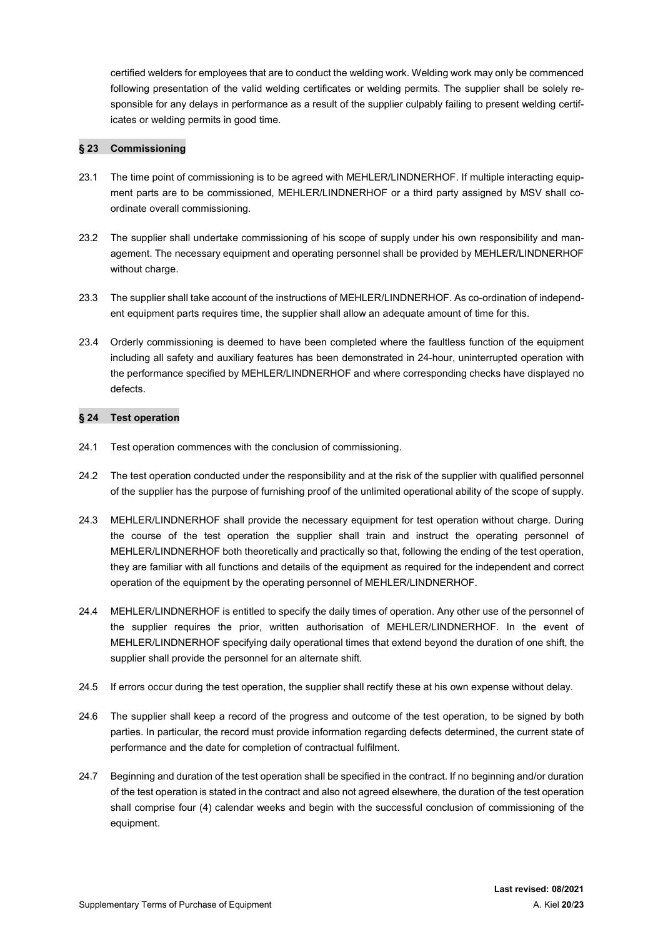certified welders for employees that are to conduct the welding work. Welding work may only be commenced following presentation of the valid welding certificates or welding permits. The supplier shall be solely responsible for any delays in performance as a result of the supplier culpably failing to present welding certificates or welding permits in good time.

### § 23 Commissioning

- 23.1 The time point of commissioning is to be agreed with MEHLER/LINDNERHOF. If multiple interacting equipment parts are to be commissioned, MEHLER/LINDNERHOF or a third party assigned by MSV shall coordinate overall commissioning.
- 23.2 The supplier shall undertake commissioning of his scope of supply under his own responsibility and management. The necessary equipment and operating personnel shall be provided by MEHLER/LINDNERHOF without charge.
- 23.3 The supplier shall take account of the instructions of MEHLER/LINDNERHOF. As co-ordination of independent equipment parts requires time, the supplier shall allow an adequate amount of time for this.
- 23.4 Orderly commissioning is deemed to have been completed where the faultless function of the equipment including all safety and auxiliary features has been demonstrated in 24-hour, uninterrupted operation with the performance specified by MEHLER/LINDNERHOF and where corresponding checks have displayed no defects.

### § 24 Test operation

- 24.1 Test operation commences with the conclusion of commissioning.
- 24.2 The test operation conducted under the responsibility and at the risk of the supplier with qualified personnel of the supplier has the purpose of furnishing proof of the unlimited operational ability of the scope of supply.
- 24.3 MEHLER/LINDNERHOF shall provide the necessary equipment for test operation without charge. During the course of the test operation the supplier shall train and instruct the operating personnel of MEHLER/LINDNERHOF both theoretically and practically so that, following the ending of the test operation, they are familiar with all functions and details of the equipment as required for the independent and correct operation of the equipment by the operating personnel of MEHLER/LINDNERHOF.
- 24.4 MEHLER/LINDNERHOF is entitled to specify the daily times of operation. Any other use of the personnel of the supplier requires the prior, written authorisation of MEHLER/LINDNERHOF. In the event of MEHLER/LINDNERHOF specifying daily operational times that extend beyond the duration of one shift, the supplier shall provide the personnel for an alternate shift.
- 24.5 If errors occur during the test operation, the supplier shall rectify these at his own expense without delay.
- 24.6 The supplier shall keep a record of the progress and outcome of the test operation, to be signed by both parties. In particular, the record must provide information regarding defects determined, the current state of performance and the date for completion of contractual fulfilment.
- 24.7 Beginning and duration of the test operation shall be specified in the contract. If no beginning and/or duration of the test operation is stated in the contract and also not agreed elsewhere, the duration of the test operation shall comprise four (4) calendar weeks and begin with the successful conclusion of commissioning of the equipment.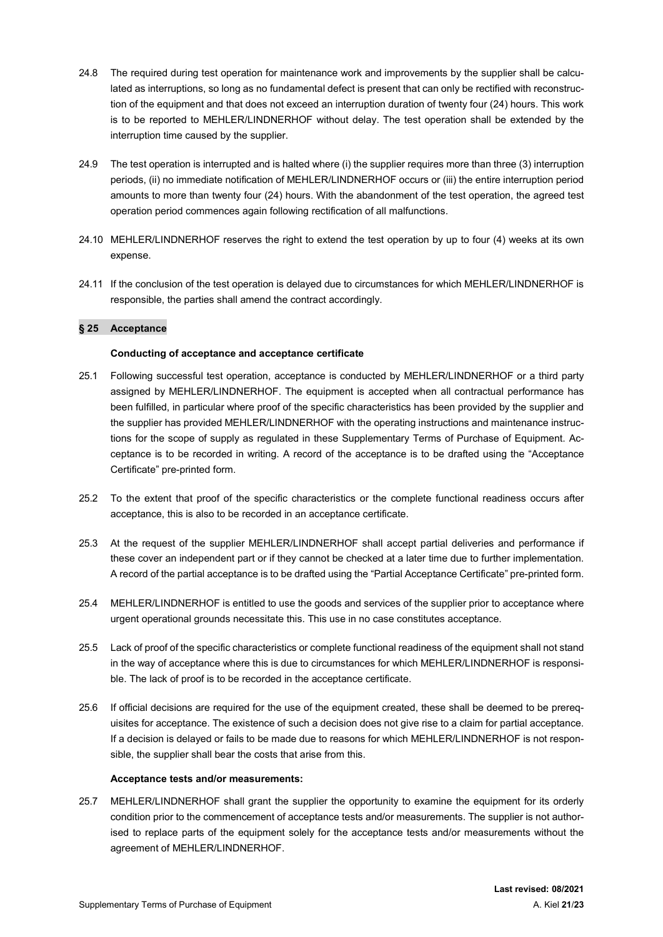- 24.8 The required during test operation for maintenance work and improvements by the supplier shall be calculated as interruptions, so long as no fundamental defect is present that can only be rectified with reconstruction of the equipment and that does not exceed an interruption duration of twenty four (24) hours. This work is to be reported to MEHLER/LINDNERHOF without delay. The test operation shall be extended by the interruption time caused by the supplier.
- 24.9 The test operation is interrupted and is halted where (i) the supplier requires more than three (3) interruption periods, (ii) no immediate notification of MEHLER/LINDNERHOF occurs or (iii) the entire interruption period amounts to more than twenty four (24) hours. With the abandonment of the test operation, the agreed test operation period commences again following rectification of all malfunctions.
- 24.10 MEHLER/LINDNERHOF reserves the right to extend the test operation by up to four (4) weeks at its own expense.
- 24.11 If the conclusion of the test operation is delayed due to circumstances for which MEHLER/LINDNERHOF is responsible, the parties shall amend the contract accordingly.

### § 25 Acceptance

### Conducting of acceptance and acceptance certificate

- 25.1 Following successful test operation, acceptance is conducted by MEHLER/LINDNERHOF or a third party assigned by MEHLER/LINDNERHOF. The equipment is accepted when all contractual performance has been fulfilled, in particular where proof of the specific characteristics has been provided by the supplier and the supplier has provided MEHLER/LINDNERHOF with the operating instructions and maintenance instructions for the scope of supply as regulated in these Supplementary Terms of Purchase of Equipment. Acceptance is to be recorded in writing. A record of the acceptance is to be drafted using the "Acceptance Certificate" pre-printed form.
- 25.2 To the extent that proof of the specific characteristics or the complete functional readiness occurs after acceptance, this is also to be recorded in an acceptance certificate.
- 25.3 At the request of the supplier MEHLER/LINDNERHOF shall accept partial deliveries and performance if these cover an independent part or if they cannot be checked at a later time due to further implementation. A record of the partial acceptance is to be drafted using the "Partial Acceptance Certificate" pre-printed form.
- 25.4 MEHLER/LINDNERHOF is entitled to use the goods and services of the supplier prior to acceptance where urgent operational grounds necessitate this. This use in no case constitutes acceptance.
- 25.5 Lack of proof of the specific characteristics or complete functional readiness of the equipment shall not stand in the way of acceptance where this is due to circumstances for which MEHLER/LINDNERHOF is responsible. The lack of proof is to be recorded in the acceptance certificate.
- 25.6 If official decisions are required for the use of the equipment created, these shall be deemed to be prerequisites for acceptance. The existence of such a decision does not give rise to a claim for partial acceptance. If a decision is delayed or fails to be made due to reasons for which MEHLER/LINDNERHOF is not responsible, the supplier shall bear the costs that arise from this.

### Acceptance tests and/or measurements:

25.7 MEHLER/LINDNERHOF shall grant the supplier the opportunity to examine the equipment for its orderly condition prior to the commencement of acceptance tests and/or measurements. The supplier is not authorised to replace parts of the equipment solely for the acceptance tests and/or measurements without the agreement of MEHLER/LINDNERHOF.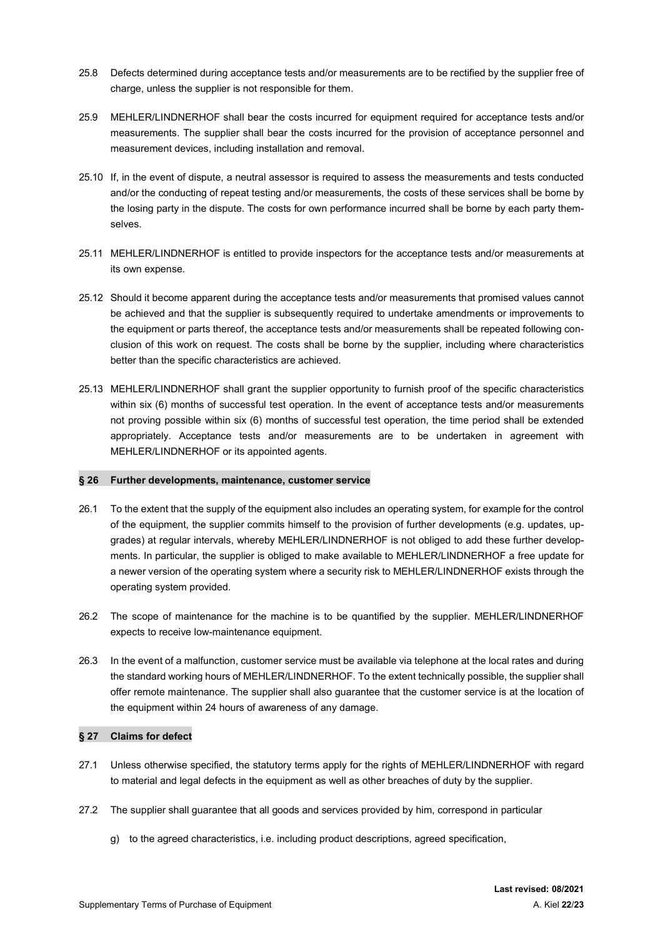- 25.8 Defects determined during acceptance tests and/or measurements are to be rectified by the supplier free of charge, unless the supplier is not responsible for them.
- 25.9 MEHLER/LINDNERHOF shall bear the costs incurred for equipment required for acceptance tests and/or measurements. The supplier shall bear the costs incurred for the provision of acceptance personnel and measurement devices, including installation and removal.
- 25.10 If, in the event of dispute, a neutral assessor is required to assess the measurements and tests conducted and/or the conducting of repeat testing and/or measurements, the costs of these services shall be borne by the losing party in the dispute. The costs for own performance incurred shall be borne by each party themselves.
- 25.11 MEHLER/LINDNERHOF is entitled to provide inspectors for the acceptance tests and/or measurements at its own expense.
- 25.12 Should it become apparent during the acceptance tests and/or measurements that promised values cannot be achieved and that the supplier is subsequently required to undertake amendments or improvements to the equipment or parts thereof, the acceptance tests and/or measurements shall be repeated following conclusion of this work on request. The costs shall be borne by the supplier, including where characteristics better than the specific characteristics are achieved.
- 25.13 MEHLER/LINDNERHOF shall grant the supplier opportunity to furnish proof of the specific characteristics within six (6) months of successful test operation. In the event of acceptance tests and/or measurements not proving possible within six (6) months of successful test operation, the time period shall be extended appropriately. Acceptance tests and/or measurements are to be undertaken in agreement with MEHLER/LINDNERHOF or its appointed agents.

### § 26 Further developments, maintenance, customer service

- 26.1 To the extent that the supply of the equipment also includes an operating system, for example for the control of the equipment, the supplier commits himself to the provision of further developments (e.g. updates, upgrades) at regular intervals, whereby MEHLER/LINDNERHOF is not obliged to add these further developments. In particular, the supplier is obliged to make available to MEHLER/LINDNERHOF a free update for a newer version of the operating system where a security risk to MEHLER/LINDNERHOF exists through the operating system provided.
- 26.2 The scope of maintenance for the machine is to be quantified by the supplier. MEHLER/LINDNERHOF expects to receive low-maintenance equipment.
- 26.3 In the event of a malfunction, customer service must be available via telephone at the local rates and during the standard working hours of MEHLER/LINDNERHOF. To the extent technically possible, the supplier shall offer remote maintenance. The supplier shall also guarantee that the customer service is at the location of the equipment within 24 hours of awareness of any damage.

### § 27 Claims for defect

- 27.1 Unless otherwise specified, the statutory terms apply for the rights of MEHLER/LINDNERHOF with regard to material and legal defects in the equipment as well as other breaches of duty by the supplier.
- 27.2 The supplier shall guarantee that all goods and services provided by him, correspond in particular
	- g) to the agreed characteristics, i.e. including product descriptions, agreed specification,